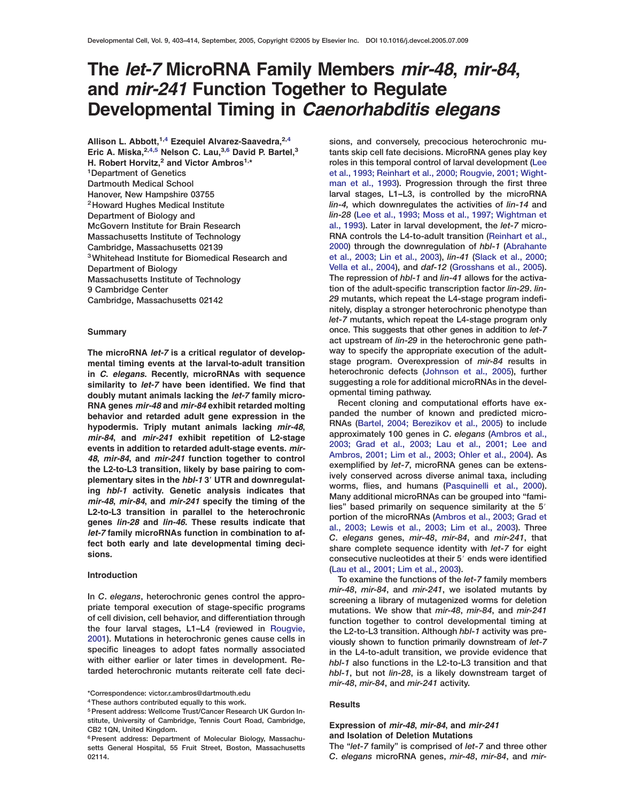# **The** *let-7* **MicroRNA Family Members** *mir-48***,** *mir-84***, and** *mir-241* **Function Together to Regulate Developmental Timing in** *Caenorhabditis elegans*

**Allison L. Abbott,1,4 Ezequiel Alvarez-Saavedra,2,4 Eric A. Miska,2,4,5 Nelson C. Lau,3,6 David P. Bartel,<sup>3</sup> H. Robert Horvitz,<sup>2</sup> and Victor Ambros1,\* 1Department of Genetics Dartmouth Medical School Hanover, New Hampshire 03755 2Howard Hughes Medical Institute Department of Biology and McGovern Institute for Brain Research Massachusetts Institute of Technology Cambridge, Massachusetts 02139 3Whitehead Institute for Biomedical Research and Department of Biology Massachusetts Institute of Technology 9 Cambridge Center Cambridge, Massachusetts 02142**

### **Summary**

**The microRNA** *let-7* **is a critical regulator of developmental timing events at the larval-to-adult transition in** *C***.** *elegans***. Recently, microRNAs with sequence similarity to** *let-7* **have been identified. We find that doubly mutant animals lacking the** *let-7* **family micro-RNA genes** *mir-48* **and** *mir-84* **exhibit retarded molting behavior and retarded adult gene expression in the hypodermis. Triply mutant animals lacking** *mir-48***,** *mir-84***, and** *mir-241* **exhibit repetition of L2-stage events in addition to retarded adult-stage events.** *mir-48***,** *mir-84***, and** *mir-241* **function together to control the L2-to-L3 transition, likely by base pairing to complementary sites in the** *hbl-1* **3 UTR and downregulating** *hbl-1* **activity. Genetic analysis indicates that** *mir-48***,** *mir-84***, and** *mir-241* **specify the timing of the L2-to-L3 transition in parallel to the heterochronic genes** *lin-28* **and** *lin-46***. These results indicate that** *let-7* **family microRNAs function in combination to affect both early and late developmental timing decisions.**

### **Introduction**

**In** *C***.** *elegans***, heterochronic genes control the appropriate temporal execution of stage-specific programs of cell division, cell behavior, and differentiation through the four larval stages, L1–L4 (reviewed in [Rougvie,](#page-11-0) [2001](#page-11-0)). Mutations in heterochronic genes cause cells in specific lineages to adopt fates normally associated with either earlier or later times in development. Retarded heterochronic mutants reiterate cell fate deci-**

**\*Correspondence: victor.r.ambros@dartmouth.edu**

**4These authors contributed equally to this work.**

**sions, and conversely, precocious heterochronic mutants skip cell fate decisions. MicroRNA genes play key roles in this temporal control of larval development [\(Lee](#page-10-0) [et al., 1993; Reinhart et al., 2000; Rougvie, 2001; Wight](#page-10-0)[man et al., 1993\)](#page-10-0). Progression through the first three larval stages, L1–L3, is controlled by the microRNA** *lin-4,* **which downregulates the activities of** *lin-14* **and** *lin-28* **[\(Lee et al., 1993; Moss et al., 1997; Wightman et](#page-10-0) [al., 1993\)](#page-10-0). Later in larval development, the** *let-7* **micro-RNA controls the L4-to-adult transition [\(Reinhart et al.,](#page-11-0) [2000](#page-11-0)) through the downregulation of** *hbl-1* **[\(Abrahante](#page-10-0) [et al., 2003; Lin et al., 2003\)](#page-10-0),** *lin-41* **[\(Slack et al., 2000;](#page-11-0) [Vella et al., 2004\)](#page-11-0), and** *daf-12* **[\(Grosshans et al., 2005\)](#page-10-0). The repression of** *hbl-1* **and** *lin-41* **allows for the activation of the adult-specific transcription factor** *lin-29***.** *lin-29* **mutants, which repeat the L4-stage program indefinitely, display a stronger heterochronic phenotype than** *let-7* **mutants, which repeat the L4-stage program only once. This suggests that other genes in addition to** *let-7* **act upstream of** *lin-29* **in the heterochronic gene pathway to specify the appropriate execution of the adultstage program. Overexpression of** *mir-84* **results in heterochronic defects [\(Johnson et al., 2005](#page-10-0)), further suggesting a role for additional microRNAs in the developmental timing pathway.**

**Recent cloning and computational efforts have expanded the number of known and predicted micro-RNAs [\(Bartel, 2004; Berezikov et al., 2005](#page-10-0)) to include approximately 100 genes in** *C***.** *elegans* **[\(Ambros et al.,](#page-10-0) [2003; Grad et al., 2003; Lau et al., 2001; Lee and](#page-10-0) [Ambros, 2001; Lim et al., 2003; Ohler et al., 2004](#page-10-0)). As exemplified by** *let-7***, microRNA genes can be extensively conserved across diverse animal taxa, including worms, flies, and humans [\(Pasquinelli et al., 2000\)](#page-11-0). Many additional microRNAs can be grouped into "fami**lies" based primarily on sequence similarity at the 5' **portion of the microRNAs [\(Ambros et al., 2003; Grad et](#page-10-0) [al., 2003; Lewis et al., 2003; Lim et al., 2003](#page-10-0)). Three** *C***.** *elegans* **genes,** *mir-48***,** *mir-84***, and** *mir-241***, that share complete sequence identity with** *let-7* **for eight consecutive nucleotides at their 5**# **ends were identified [\(Lau et al., 2001; Lim et al., 2003\)](#page-10-0).**

**To examine the functions of the** *let-7* **family members** *mir-48***,** *mir-84***, and** *mir-241***, we isolated mutants by screening a library of mutagenized worms for deletion mutations. We show that** *mir-48***,** *mir-84***, and** *mir-241* **function together to control developmental timing at the L2-to-L3 transition. Although** *hbl-1* **activity was previously shown to function primarily downstream of** *let-7* **in the L4-to-adult transition, we provide evidence that** *hbl-1* **also functions in the L2-to-L3 transition and that** *hbl-1***, but not** *lin-28***, is a likely downstream target of** *mir-48***,** *mir-84***, and** *mir-241* **activity.**

### **Results**

### **Expression of** *mir-48***,** *mir-84***, and** *mir-241* **and Isolation of Deletion Mutations**

**The "***let-7* **family" is comprised of** *let-7* **and three other** *C***.** *elegans* **microRNA genes,** *mir-48***,** *mir-84***, and** *mir-*

<sup>&</sup>lt;sup>5</sup> Present address: Wellcome Trust/Cancer Research UK Gurdon In**stitute, University of Cambridge, Tennis Court Road, Cambridge, CB2 1QN, United Kingdom.**

<sup>&</sup>lt;sup>6</sup> Present address: Department of Molecular Biology, Massachu**setts General Hospital, 55 Fruit Street, Boston, Massachusetts 02114.**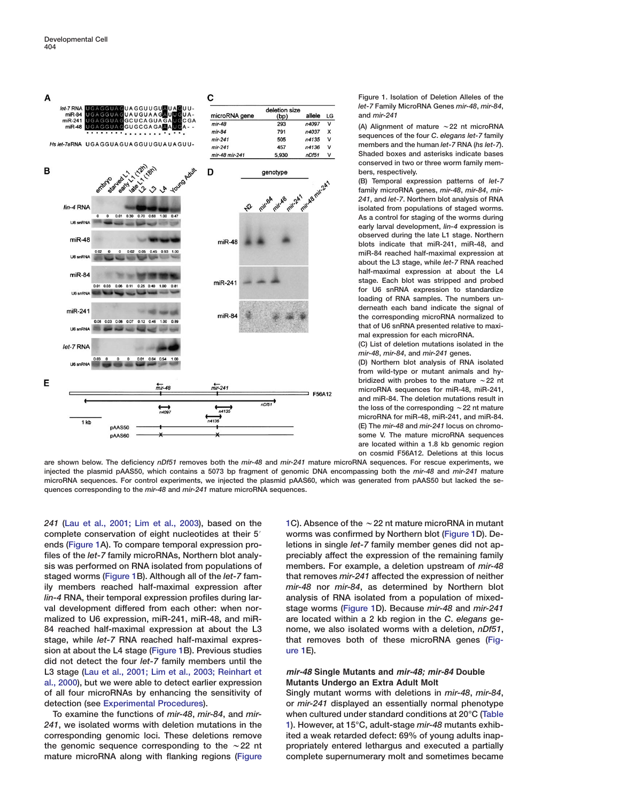<span id="page-1-0"></span>

**Figure 1. Isolation of Deletion Alleles of the** *let-7* **Family MicroRNA Genes** *mir-48***,** *mir-84***, and** *mir-241*

**(A) Alignment of mature** w**22 nt microRNA sequences of the four** *C***.** *elegans let-7* **family members and the human** *let-7* **RNA (***hs let-7***). Shaded boxes and asterisks indicate bases conserved in two or three worm family members, respectively.**

**(B) Temporal expression patterns of** *let-7* **family microRNA genes,** *mir-48***,** *mir-84***,** *mir-241***, and** *let-7***. Northern blot analysis of RNA isolated from populations of staged worms. As a control for staging of the worms during early larval development,** *lin-4* **expression is observed during the late L1 stage. Northern blots indicate that miR-241, miR-48, and miR-84 reached half-maximal expression at about the L3 stage, while** *let-7* **RNA reached half-maximal expression at about the L4 stage. Each blot was stripped and probed for U6 snRNA expression to standardize loading of RNA samples. The numbers underneath each band indicate the signal of the corresponding microRNA normalized to that of U6 snRNA presented relative to maximal expression for each microRNA.**

**(C) List of deletion mutations isolated in the** *mir-48***,** *mir-84***, and** *mir-241* **genes.**

**(D) Northern blot analysis of RNA isolated from wild-type or mutant animals and hy**bridized with probes to the mature  $\sim$  22 nt **microRNA sequences for miR-48, miR-241, and miR-84. The deletion mutations result in** the loss of the corresponding  $\sim$  22 nt mature **microRNA for miR-48, miR-241, and miR-84. (E) The** *mir-48* **and** *mir-241* **locus on chromosome V. The mature microRNA sequences are located within a 1.8 kb genomic region on cosmid F56A12. Deletions at this locus**

**are shown below. The deficiency** *nDf51* **removes both the** *mir-48* **and** *mir-241* **mature microRNA sequences. For rescue experiments, we injected the plasmid pAAS50, which contains a 5073 bp fragment of genomic DNA encompassing both the** *mir-48* **and** *mir-241* **mature microRNA sequences. For control experiments, we injected the plasmid pAAS60, which was generated from pAAS50 but lacked the sequences corresponding to the** *mir-48* **and** *mir-241* **mature microRNA sequences.**

*241* **[\(Lau et al., 2001; Lim et al., 2003\)](#page-10-0), based on the complete conservation of eight nucleotides at their 5**# **ends (Figure 1A). To compare temporal expression profiles of the** *let-7* **family microRNAs, Northern blot analysis was performed on RNA isolated from populations of staged worms (Figure 1B). Although all of the** *let-7* **family members reached half-maximal expression after** *lin-4* **RNA, their temporal expression profiles during larval development differed from each other: when normalized to U6 expression, miR-241, miR-48, and miR-84 reached half-maximal expression at about the L3 stage, while** *let-7* **RNA reached half-maximal expression at about the L4 stage (Figure 1B). Previous studies did not detect the four** *let-7* **family members until the L3 stage [\(Lau et al., 2001; Lim et al., 2003; Reinhart et](#page-10-0) [al., 2000\)](#page-10-0), but we were able to detect earlier expression of all four microRNAs by enhancing the sensitivity of detection (see Experimental Procedures).**

**To examine the functions of** *mir-48***,** *mir-84***, and** *mir-241***, we isolated worms with deletion mutations in the corresponding genomic loci. These deletions remove** the genomic sequence corresponding to the  $\sim$  22 nt **mature microRNA along with flanking regions (Figure**

**1C). Absence of the** w**22 nt mature microRNA in mutant worms was confirmed by Northern blot (Figure 1D). Deletions in single** *let-7* **family member genes did not appreciably affect the expression of the remaining family members. For example, a deletion upstream of** *mir-48* **that removes** *mir-241* **affected the expression of neither** *mir-48* **nor** *mir-84***, as determined by Northern blot analysis of RNA isolated from a population of mixedstage worms (Figure 1D). Because** *mir-48* **and** *mir-241* **are located within a 2 kb region in the** *C***.** *elegans* **genome, we also isolated worms with a deletion,** *nDf51***, that removes both of these microRNA genes (Figure 1E).**

### *mir-48* **Single Mutants and** *mir-48; mir-84* **Double Mutants Undergo an Extra Adult Molt**

**Singly mutant worms with deletions in** *mir-48***,** *mir-84***, or** *mir-241* **displayed an essentially normal phenotype when cultured under standard conditions at 20°C [\(Table](#page-2-0) [1](#page-2-0)). However, at 15°C, adult-stage** *mir-48* **mutants exhibited a weak retarded defect: 69% of young adults inappropriately entered lethargus and executed a partially complete supernumerary molt and sometimes became**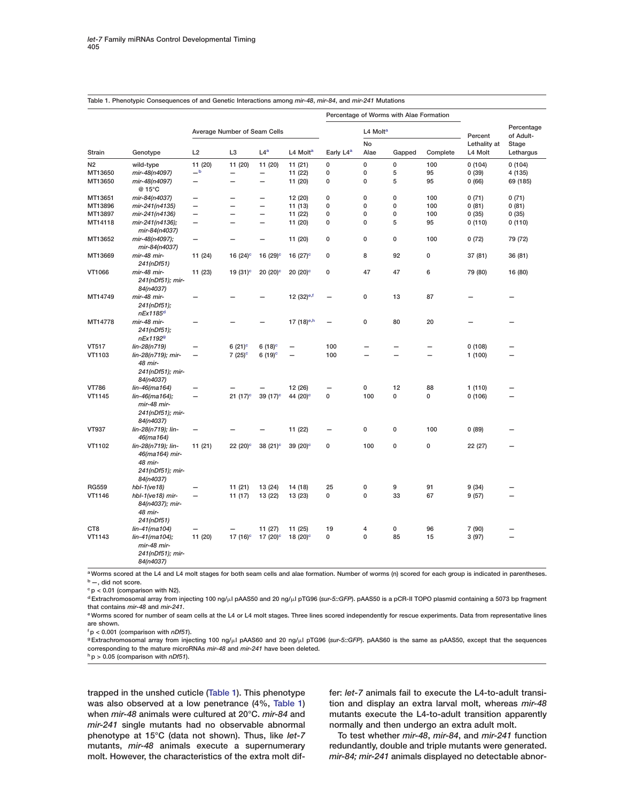| Strain          | Genotype                                                                         |                              |                          |                          |                          | Percentage of Worms with Alae Formation |                          |                          |                          |                         |                          |
|-----------------|----------------------------------------------------------------------------------|------------------------------|--------------------------|--------------------------|--------------------------|-----------------------------------------|--------------------------|--------------------------|--------------------------|-------------------------|--------------------------|
|                 |                                                                                  | Average Number of Seam Cells |                          |                          |                          |                                         | L4 Molt <sup>a</sup>     |                          |                          | Percent                 | Percentage<br>of Adult-  |
|                 |                                                                                  | L2                           | L <sub>3</sub>           | L4 <sup>a</sup>          | L4 Molt <sup>a</sup>     | Early L4 <sup>a</sup>                   | No<br>Alae               | Gapped                   | Complete                 | Lethality at<br>L4 Molt | Stage<br>Lethargus       |
| N <sub>2</sub>  | wild-type                                                                        | 11 (20)                      | 11 (20)                  | 11 (20)                  | 11(21)                   | $\mathbf 0$                             | $\mathbf 0$              | 0                        | 100                      | 0(104)                  | 0(104)                   |
| MT13650         | mir-48(n4097)                                                                    | $-b$                         | $\overline{\phantom{0}}$ | $\overline{\phantom{0}}$ | 11 (22)                  | 0                                       | 0                        | 5                        | 95                       | 0(39)                   | 4 (135)                  |
| MT13650         | mir-48(n4097)<br>@ 15°C                                                          | $\overline{\phantom{0}}$     | —                        | $\overline{\phantom{0}}$ | 11 (20)                  | 0                                       | 0                        | 5                        | 95                       | 0(66)                   | 69 (185)                 |
| MT13651         | mir-84(n4037)                                                                    | $\overline{\phantom{0}}$     | $\overline{\phantom{0}}$ | $\overline{\phantom{0}}$ | 12 (20)                  | 0                                       | $\mathbf 0$              | 0                        | 100                      | 0(71)                   | 0(71)                    |
| MT13896         | mir-241(n4135)                                                                   | —                            | $\overline{\phantom{0}}$ | $\overline{\phantom{0}}$ | 11 (13)                  | 0                                       | $\mathbf 0$              | 0                        | 100                      | 0(81)                   | 0(81)                    |
| MT13897         | mir-241(n4136)                                                                   | $\overline{\phantom{0}}$     | $\overline{\phantom{0}}$ | $\overline{\phantom{0}}$ | 11 (22)                  | 0                                       | $\mathbf 0$              | 0                        | 100                      | 0(35)                   | 0(35)                    |
| MT14118         | mir-241(n4136);<br>mir-84(n4037)                                                 | -                            |                          |                          | 11 (20)                  | 0                                       | $\mathbf 0$              | 5                        | 95                       | 0(110)                  | 0(110)                   |
| MT13652         | mir-48(n4097);<br>mir-84(n4037)                                                  | $\qquad \qquad -$            |                          | -                        | 11 (20)                  | 0                                       | 0                        | 0                        | 100                      | 0(72)                   | 79 (72)                  |
| MT13669         | mir-48 mir-<br>241(nDf51)                                                        | 11 (24)                      | 16 $(24)$ °              | 16 $(29)$ <sup>c</sup>   | 16 $(27)$ °              | 0                                       | 8                        | 92                       | 0                        | 37 (81)                 | 36 (81)                  |
| VT1066          | mir-48 mir-<br>241(nDf51); mir-<br>84(n4037)                                     | 11 (23)                      | 19 $(31)^c$              | $20(20)$ <sup>c</sup>    | $20(20)$ <sup>c</sup>    | 0                                       | 47                       | 47                       | 6                        | 79 (80)                 | 16 (80)                  |
| MT14749         | mir-48 mir-<br>241(nDf51);<br>nEx1185 <sup>d</sup>                               |                              |                          |                          | 12 $(32)$ <sup>e,f</sup> | $\overline{\phantom{0}}$                | 0                        | 13                       | 87                       |                         |                          |
| MT14778         | mir-48 mir-<br>241(nDf51);<br>nEx11929                                           |                              |                          |                          | 17 (18) <sup>e,h</sup>   | $\overline{\phantom{0}}$                | 0                        | 80                       | 20                       |                         |                          |
| VT517           | lin-28(n719)                                                                     | -                            | 6 $(21)^c$               | 6 (18) $^{\circ}$        | -                        | 100                                     |                          |                          | -                        | 0(108)                  |                          |
| VT1103          | lin-28(n719); mir-<br>48 mir-<br>241(nDf51); mir-<br>84(n4037)                   | $\qquad \qquad -$            | $7(25)^c$                | $6(19)^c$                | $\overline{\phantom{0}}$ | 100                                     | $\overline{\phantom{0}}$ | $\overline{\phantom{0}}$ | $\overline{\phantom{0}}$ | 1(100)                  |                          |
| <b>VT786</b>    | lin-46(ma164)                                                                    |                              |                          |                          | 12 (26)                  |                                         | 0                        | 12                       | 88                       | 1(110)                  |                          |
| VT1145          | lin-46(ma164);<br>mir-48 mir-<br>241(nDf51); mir-<br>84(n4037)                   | $\qquad \qquad -$            | $21(17)^c$               | 39 $(17)$ <sup>c</sup>   | 44 (20) <sup>c</sup>     | 0                                       | 100                      | 0                        | 0                        | 0(106)                  |                          |
| <b>VT937</b>    | lin-28(n719); lin-<br>46(ma164)                                                  |                              |                          |                          | 11 (22)                  | $\overline{\phantom{0}}$                | 0                        | 0                        | 100                      | 0(89)                   |                          |
| VT1102          | lin-28(n719); lin-<br>46(ma164) mir-<br>48 mir-<br>241(nDf51); mir-<br>84(n4037) | 11(21)                       | $22(20)$ °               | 38 $(21)$ <sup>c</sup>   | 39 (20) <sup>c</sup>     | 0                                       | 100                      | 0                        | 0                        | 22 (27)                 |                          |
| <b>RG559</b>    | $hbI-1(ve18)$                                                                    |                              | 11(21)                   | 13 (24)                  | 14 (18)                  | 25                                      | 0                        | 9                        | 91                       | 9(34)                   |                          |
| VT1146          | hbl-1(ve18) mir-<br>84(n4037); mir-<br>48 mir-<br>241(nDf51)                     | $\overline{\phantom{m}}$     | 11(17)                   | 13 (22)                  | 13 (23)                  | 0                                       | 0                        | 33                       | 67                       | 9(57)                   | $\overline{\phantom{0}}$ |
| CT <sub>8</sub> | lin-41(ma104)                                                                    |                              |                          | 11 (27)                  | 11 (25)                  | 19                                      | 4                        | 0                        | 96                       | 7 (90)                  |                          |
| VT1143          | lin-41(ma104);<br>mir-48 mir-<br>241(nDf51); mir-<br>84(n4037)                   | 11 (20)                      | 17 $(16)^c$              | 17 $(20)$ <sup>c</sup>   | 18 $(20)$ <sup>c</sup>   | 0                                       | $\mathbf 0$              | 85                       | 15                       | 3(97)                   |                          |

### <span id="page-2-0"></span>**Table 1. Phenotypic Consequences of and Genetic Interactions among** *mir-48***,** *mir-84***, and** *mir-241* **Mutations**

**aWorms scored at the L4 and L4 molt stages for both seam cells and alae formation. Number of worms (n) scored for each group is indicated in parentheses. b—, did not score.**

**cp < 0.01 (comparison with N2).**

**dExtrachromosomal array from injecting 100 ng/l pAAS50 and 20 ng/l pTG96 (***sur-5::GFP***). pAAS50 is a pCR-II TOPO plasmid containing a 5073 bp fragment that contains** *mir-48* **and** *mir-241***.**

**eWorms scored for number of seam cells at the L4 or L4 molt stages. Three lines scored independently for rescue experiments. Data from representative lines are shown.**

**f p < 0.001 (comparison with** *nDf51***).**

**gExtrachromosomal array from injecting 100 ng/l pAAS60 and 20 ng/l pTG96 (***sur-5::GFP***). pAAS60 is the same as pAAS50, except that the sequences corresponding to the mature microRNAs** *mir-48* **and** *mir-241* **have been deleted.**

**hp > 0.05 (comparison with** *nDf51***).**

**trapped in the unshed cuticle (Table 1). This phenotype was also observed at a low penetrance (4%, Table 1) when** *mir-48* **animals were cultured at 20°C.** *mir-84* **and** *mir-241* **single mutants had no observable abnormal phenotype at 15°C (data not shown). Thus, like** *let-7* **mutants,** *mir-48* **animals execute a supernumerary molt. However, the characteristics of the extra molt dif-** **fer:** *let-7* **animals fail to execute the L4-to-adult transition and display an extra larval molt, whereas** *mir-48* **mutants execute the L4-to-adult transition apparently normally and then undergo an extra adult molt.**

**To test whether** *mir-48***,** *mir-84***, and** *mir-241* **function redundantly, double and triple mutants were generated.** *mir-84; mir-241* **animals displayed no detectable abnor-**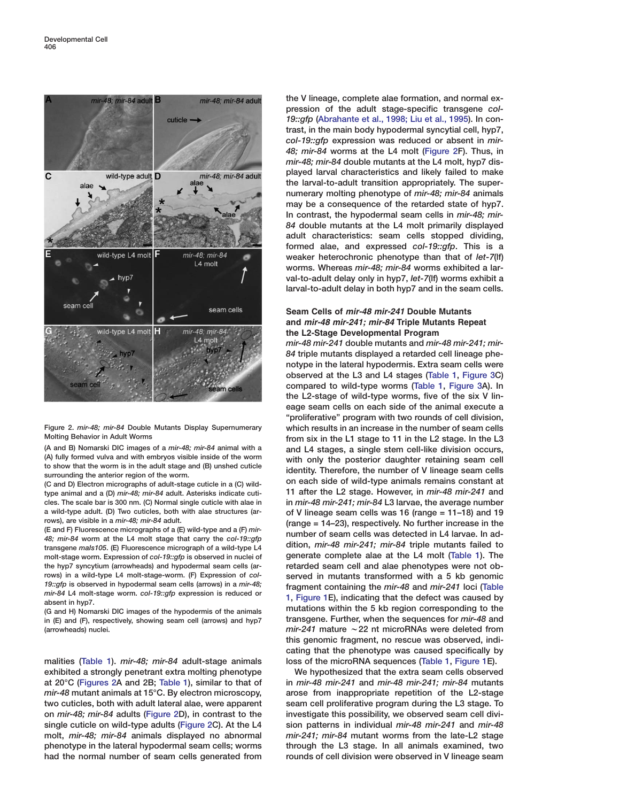

**Figure 2.** *mir-48; mir-84* **Double Mutants Display Supernumerary Molting Behavior in Adult Worms**

**(A and B) Nomarski DIC images of a** *mir-48; mir-84* **animal with a (A) fully formed vulva and with embryos visible inside of the worm to show that the worm is in the adult stage and (B) unshed cuticle surrounding the anterior region of the worm.**

**(C and D) Electron micrographs of adult-stage cuticle in a (C) wildtype animal and a (D)** *mir-48; mir-84* **adult. Asterisks indicate cuticles. The scale bar is 300 nm. (C) Normal single cuticle with alae in a wild-type adult. (D) Two cuticles, both with alae structures (arrows), are visible in a** *mir-48; mir-84* **adult.**

**(E and F) Fluorescence micrographs of a (E) wild-type and a (F)** *mir-48; mir-84* **worm at the L4 molt stage that carry the** *col-19::gfp* **transgene** *maIs105***. (E) Fluorescence micrograph of a wild-type L4 molt-stage worm. Expression of** *col-19::gfp* **is observed in nuclei of the hyp7 syncytium (arrowheads) and hypodermal seam cells (arrows) in a wild-type L4 molt-stage-worm. (F) Expression of** *col-19::gfp* **is observed in hypodermal seam cells (arrows) in a** *mir-48; mir-84* **L4 molt-stage worm.** *col-19::gfp* **expression is reduced or absent in hyp7.**

**(G and H) Nomarski DIC images of the hypodermis of the animals in (E) and (F), respectively, showing seam cell (arrows) and hyp7 (arrowheads) nuclei.**

**malities [\(Table 1](#page-2-0)).** *mir-48; mir-84* **adult-stage animals exhibited a strongly penetrant extra molting phenotype at 20°C (Figures 2A and 2B; [Table 1\)](#page-2-0), similar to that of** *mir-48* **mutant animals at 15°C. By electron microscopy, two cuticles, both with adult lateral alae, were apparent on** *mir-48; mir-84* **adults (Figure 2D), in contrast to the single cuticle on wild-type adults (Figure 2C). At the L4 molt,** *mir-48; mir-84* **animals displayed no abnormal phenotype in the lateral hypodermal seam cells; worms had the normal number of seam cells generated from** **the V lineage, complete alae formation, and normal expression of the adult stage-specific transgene** *col-19::gfp* **[\(Abrahante et al., 1998; Liu et al., 1995\)](#page-10-0). In contrast, in the main body hypodermal syncytial cell, hyp7,** *col-19::gfp* **expression was reduced or absent in** *mir-48; mir-84* **worms at the L4 molt (Figure 2F). Thus, in** *mir-48; mir-84* **double mutants at the L4 molt, hyp7 displayed larval characteristics and likely failed to make the larval-to-adult transition appropriately. The supernumerary molting phenotype of** *mir-48; mir-84* **animals may be a consequence of the retarded state of hyp7. In contrast, the hypodermal seam cells in** *mir-48; mir-84* **double mutants at the L4 molt primarily displayed adult characteristics: seam cells stopped dividing, formed alae, and expressed** *col-19::gfp***. This is a weaker heterochronic phenotype than that of** *let-7***(lf) worms. Whereas** *mir-48; mir-84* **worms exhibited a larval-to-adult delay only in hyp7,** *let-7***(lf) worms exhibit a larval-to-adult delay in both hyp7 and in the seam cells.**

# **Seam Cells of** *mir-48 mir-241* **Double Mutants and** *mir-48 mir-241; mir-84* **Triple Mutants Repeat the L2-Stage Developmental Program**

*mir-48 mir-241* **double mutants and** *mir-48 mir-241; mir-84* **triple mutants displayed a retarded cell lineage phenotype in the lateral hypodermis. Extra seam cells were observed at the L3 and L4 stages [\(Table 1,](#page-2-0) [Figure 3](#page-4-0)C) compared to wild-type worms [\(Table 1,](#page-2-0) [Figure 3A](#page-4-0)). In the L2-stage of wild-type worms, five of the six V lineage seam cells on each side of the animal execute a "proliferative" program with two rounds of cell division, which results in an increase in the number of seam cells from six in the L1 stage to 11 in the L2 stage. In the L3 and L4 stages, a single stem cell-like division occurs, with only the posterior daughter retaining seam cell identity. Therefore, the number of V lineage seam cells on each side of wild-type animals remains constant at 11 after the L2 stage. However, in** *mir-48 mir-241* **and in** *mir-48 mir-241; mir-84* **L3 larvae, the average number of V lineage seam cells was 16 (range = 11–18) and 19 (range = 14–23), respectively. No further increase in the number of seam cells was detected in L4 larvae. In addition,** *mir-48 mir-241; mir-84* **triple mutants failed to generate complete alae at the L4 molt [\(Table 1\)](#page-2-0). The retarded seam cell and alae phenotypes were not observed in mutants transformed with a 5 kb genomic fragment containing the** *mir-48* **and** *mir-241* **loci [\(Table](#page-2-0) [1](#page-2-0), [Figure 1](#page-1-0)E), indicating that the defect was caused by mutations within the 5 kb region corresponding to the transgene. Further, when the sequences for** *mir-48* **and** *mir-241* **mature** w**22 nt microRNAs were deleted from this genomic fragment, no rescue was observed, indicating that the phenotype was caused specifically by loss of the microRNA sequences [\(Table 1,](#page-2-0) [Figure 1](#page-1-0)E).**

**We hypothesized that the extra seam cells observed in** *mir-48 mir-241* **and** *mir-48 mir-241; mir-84* **mutants arose from inappropriate repetition of the L2-stage seam cell proliferative program during the L3 stage. To investigate this possibility, we observed seam cell division patterns in individual** *mir-48 mir-241* **and** *mir-48 mir-241; mir-84* **mutant worms from the late-L2 stage through the L3 stage. In all animals examined, two rounds of cell division were observed in V lineage seam**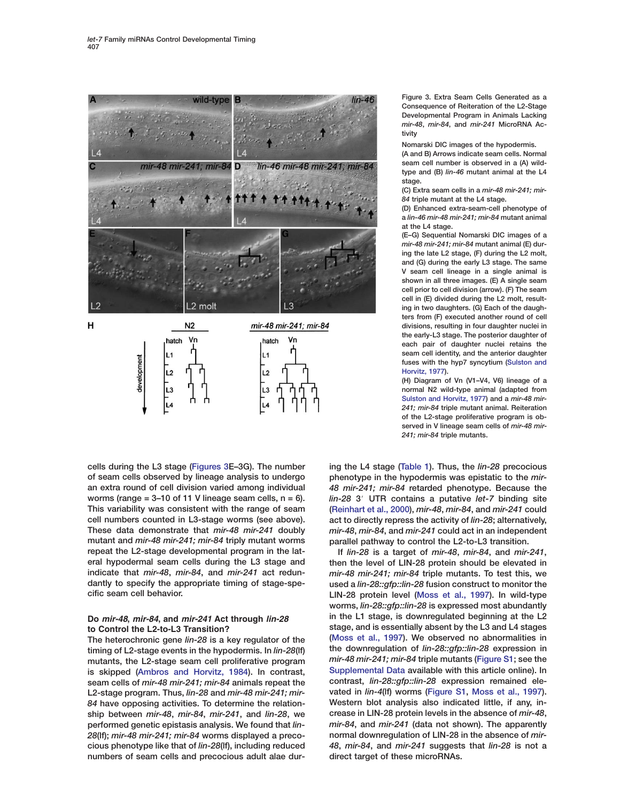<span id="page-4-0"></span>

**cells during the L3 stage (Figures 3E–3G). The number of seam cells observed by lineage analysis to undergo an extra round of cell division varied among individual worms (range = 3–10 of 11 V lineage seam cells, n = 6). This variability was consistent with the range of seam cell numbers counted in L3-stage worms (see above). These data demonstrate that** *mir-48 mir-241* **doubly mutant and** *mir-48 mir-241; mir-84* **triply mutant worms repeat the L2-stage developmental program in the lateral hypodermal seam cells during the L3 stage and indicate that** *mir-48***,** *mir-84***, and** *mir-241* **act redundantly to specify the appropriate timing of stage-specific seam cell behavior.**

### **Do** *mir-48***,** *mir-84***, and** *mir-241* **Act through** *lin-28* **to Control the L2-to-L3 Transition?**

**The heterochronic gene** *lin-28* **is a key regulator of the timing of L2-stage events in the hypodermis. In** *lin-28***(lf) mutants, the L2-stage seam cell proliferative program is skipped [\(Ambros and Horvitz, 1984\)](#page-10-0). In contrast, seam cells of** *mir-48 mir-241; mir-84* **animals repeat the L2-stage program. Thus,** *lin-28* **and** *mir-48 mir-241; mir-84* **have opposing activities. To determine the relationship between** *mir-48***,** *mir-84***,** *mir-241***, and** *lin-28***, we performed genetic epistasis analysis. We found that** *lin-28***(lf);** *mir-48 mir-241; mir-84* **worms displayed a precocious phenotype like that of** *lin-28***(lf), including reduced numbers of seam cells and precocious adult alae dur-** **Figure 3. Extra Seam Cells Generated as a Consequence of Reiteration of the L2-Stage Developmental Program in Animals Lacking** *mir-48***,** *mir-84***, and** *mir-241* **MicroRNA Activity**

**Nomarski DIC images of the hypodermis.**

**(A and B) Arrows indicate seam cells. Normal seam cell number is observed in a (A) wildtype and (B)** *lin-46* **mutant animal at the L4 stage.**

**(C) Extra seam cells in a** *mir-48 mir-241; mir-84* **triple mutant at the L4 stage.**

**(D) Enhanced extra-seam-cell phenotype of a** *lin-46 mir-48 mir-241; mir-84* **mutant animal at the L4 stage.**

**(E–G) Sequential Nomarski DIC images of a** *mir-48 mir-241; mir-84* **mutant animal (E) during the late L2 stage, (F) during the L2 molt, and (G) during the early L3 stage. The same V seam cell lineage in a single animal is shown in all three images. (E) A single seam cell prior to cell division (arrow). (F) The seam cell in (E) divided during the L2 molt, resulting in two daughters. (G) Each of the daughters from (F) executed another round of cell divisions, resulting in four daughter nuclei in the early-L3 stage. The posterior daughter of each pair of daughter nuclei retains the seam cell identity, and the anterior daughter fuses with the hyp7 syncytium [\(Sulston and](#page-10-0) [Horvitz, 1977\)](#page-10-0).**

**(H) Diagram of Vn (V1–V4, V6) lineage of a normal N2 wild-type animal (adapted from [Sulston and Horvitz, 1977](#page-10-0)) and a** *mir-48 mir-241; mir-84* **triple mutant animal. Reiteration of the L2-stage proliferative program is observed in V lineage seam cells of** *mir-48 mir-241; mir-84* **triple mutants.**

**ing the L4 stage [\(Table 1\)](#page-2-0). Thus, the** *lin-28* **precocious phenotype in the hypodermis was epistatic to the** *mir-48 mir-241; mir-84* **retarded phenotype. Because the** *lin-28* **3**# **UTR contains a putative** *let-7* **binding site [\(Reinhart et al., 2000\)](#page-11-0),** *mir-48***,** *mir-84***, and** *mir-241* **could act to directly repress the activity of** *lin-28***; alternatively,** *mir-48***,** *mir-84***, and** *mir-241* **could act in an independent parallel pathway to control the L2-to-L3 transition.**

**If** *lin-28* **is a target of** *mir-48***,** *mir-84***, and** *mir-241***, then the level of LIN-28 protein should be elevated in** *mir-48 mir-241; mir-84* **triple mutants. To test this, we used a** *lin-28::gfp::lin-28* **fusion construct to monitor the LIN-28 protein level [\(Moss et al., 1997](#page-11-0)). In wild-type worms,** *lin-28::gfp::lin-28* **is expressed most abundantly in the L1 stage, is downregulated beginning at the L2 stage, and is essentially absent by the L3 and L4 stages [\(Moss et al., 1997\)](#page-11-0). We observed no abnormalities in the downregulation of** *lin-28::gfp::lin-28* **expression in** *mir-48 mir-241; mir-84* **triple mutants (Figure S1; see the Supplemental Data available with this article online). In contrast,** *lin-28::gfp::lin-28* **expression remained elevated in** *lin-4***(lf) worms (Figure S1, [Moss et al., 1997\)](#page-11-0). Western blot analysis also indicated little, if any, increase in LIN-28 protein levels in the absence of** *mir-48***,** *mir-84***, and** *mir-241* **(data not shown). The apparently normal downregulation of LIN-28 in the absence of** *mir-48***,** *mir-84***, and** *mir-241* **suggests that** *lin-28* **is not a direct target of these microRNAs.**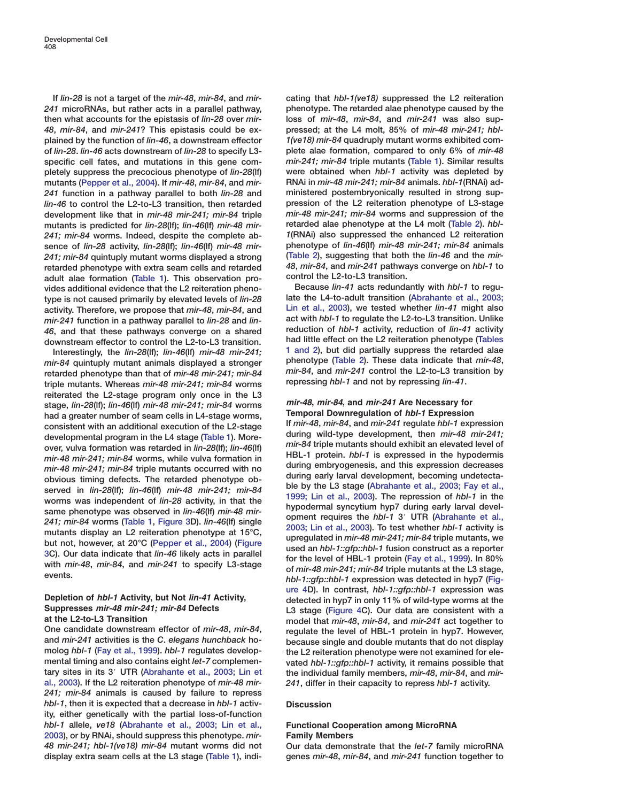**If** *lin-28* **is not a target of the** *mir-48***,** *mir-84***, and** *mir-241* **microRNAs, but rather acts in a parallel pathway, then what accounts for the epistasis of** *lin-28* **over** *mir-48***,** *mir-84***, and** *mir-241***? This epistasis could be explained by the function of** *lin-46***, a downstream effector of** *lin-28***.** *lin-46* **acts downstream of** *lin-28* **to specify L3 specific cell fates, and mutations in this gene completely suppress the precocious phenotype of** *lin-28***(lf) mutants [\(Pepper et al., 2004](#page-11-0)). If** *mir-48***,** *mir-84***, and** *mir-241* **function in a pathway parallel to both** *lin-28* **and** *lin-46* **to control the L2-to-L3 transition, then retarded development like that in** *mir-48 mir-241; mir-84* **triple mutants is predicted for** *lin-28***(lf);** *lin-46***(lf)** *mir-48 mir-241; mir-84* **worms. Indeed, despite the complete absence of** *lin-28* **activity,** *lin-28***(lf);** *lin-46***(lf)** *mir-48 mir-241; mir-84* **quintuply mutant worms displayed a strong retarded phenotype with extra seam cells and retarded adult alae formation [\(Table 1\)](#page-2-0). This observation provides additional evidence that the L2 reiteration phenotype is not caused primarily by elevated levels of** *lin-28* **activity. Therefore, we propose that** *mir-48***,** *mir-84***, and** *mir-241* **function in a pathway parallel to** *lin-28* **and** *lin-46***, and that these pathways converge on a shared downstream effector to control the L2-to-L3 transition.**

**Interestingly, the** *lin-28***(lf);** *lin-46***(lf)** *mir-48 mir-241; mir-84* **quintuply mutant animals displayed a stronger retarded phenotype than that of** *mir-48 mir-241; mir-84* **triple mutants. Whereas** *mir-48 mir-241; mir-84* **worms reiterated the L2-stage program only once in the L3 stage,** *lin-28***(lf);** *lin-46***(lf)** *mir-48 mir-241; mir-84* **worms had a greater number of seam cells in L4-stage worms, consistent with an additional execution of the L2-stage developmental program in the L4 stage [\(Table 1\)](#page-2-0). Moreover, vulva formation was retarded in** *lin-28***(lf);** *lin-46***(lf)** *mir-48 mir-241; mir-84* **worms, while vulva formation in** *mir-48 mir-241; mir-84* **triple mutants occurred with no obvious timing defects. The retarded phenotype observed in** *lin-28***(lf);** *lin-46***(lf)** *mir-48 mir-241; mir-84* **worms was independent of** *lin-28* **activity, in that the same phenotype was observed in** *lin-46***(lf)** *mir-48 mir-241; mir-84* **worms [\(Table 1,](#page-2-0) [Figure 3](#page-4-0)D).** *lin-46***(lf) single mutants display an L2 reiteration phenotype at 15°C, but not, however, at 20°C [\(Pepper et al., 2004\)](#page-11-0) [\(Figure](#page-4-0) [3C](#page-4-0)). Our data indicate that** *lin-46* **likely acts in parallel with** *mir-48***,** *mir-84***, and** *mir-241* **to specify L3-stage events.**

### **Depletion of** *hbl-1* **Activity, but Not** *lin-41* **Activity, Suppresses** *mir-48 mir-241; mir-84* **Defects at the L2-to-L3 Transition**

**One candidate downstream effector of** *mir-48***,** *mir-84***, and** *mir-241* **activities is the** *C***.** *elegans hunchback* **homolog** *hbl-1* **[\(Fay et al., 1999\)](#page-10-0).** *hbl-1* **regulates developmental timing and also contains eight** *let-7* **complementary sites in its 3**# **UTR [\(Abrahante et al., 2003; Lin et](#page-10-0) [al., 2003\)](#page-10-0). If the L2 reiteration phenotype of** *mir-48 mir-241; mir-84* **animals is caused by failure to repress** *hbl-1***, then it is expected that a decrease in** *hbl-1* **activity, either genetically with the partial loss-of-function** *hbl-1* **allele,** *ve18* **[\(Abrahante et al., 2003; Lin et al.,](#page-10-0) [2003\)](#page-10-0), or by RNAi, should suppress this phenotype.** *mir-48 mir-241; hbl-1(ve18) mir-84* **mutant worms did not display extra seam cells at the L3 stage [\(Table 1\)](#page-2-0), indi-**

**cating that** *hbl-1(ve18)* **suppressed the L2 reiteration phenotype. The retarded alae phenotype caused by the loss of** *mir-48***,** *mir-84***, and** *mir-241* **was also suppressed; at the L4 molt, 85% of** *mir-48 mir-241; hbl-1(ve18) mir-84* **quadruply mutant worms exhibited complete alae formation, compared to only 6% of** *mir-48 mir-241; mir-84* **triple mutants [\(Table 1\)](#page-2-0). Similar results were obtained when** *hbl-1* **activity was depleted by RNAi in** *mir-48 mir-241; mir-84* **animals.** *hbl-1***(RNAi) administered postembryonically resulted in strong suppression of the L2 reiteration phenotype of L3-stage** *mir-48 mir-241; mir-84* **worms and suppression of the retarded alae phenotype at the L4 molt [\(Table 2\)](#page-6-0).** *hbl-1***(RNAi) also suppressed the enhanced L2 reiteration phenotype of** *lin-46***(lf)** *mir-48 mir-241; mir-84* **animals [\(Table 2\)](#page-6-0), suggesting that both the** *lin-46* **and the** *mir-48***,** *mir-84***, and** *mir-241* **pathways converge on** *hbl-1* **to control the L2-to-L3 transition.**

**Because** *lin-41* **acts redundantly with** *hbl-1* **to regulate the L4-to-adult transition [\(Abrahante et al., 2003;](#page-10-0) [Lin et al., 2003](#page-10-0)), we tested whether** *lin-41* **might also act with** *hbl-1* **to regulate the L2-to-L3 transition. Unlike reduction of** *hbl-1* **activity, reduction of** *lin-41* **activity had little effect on the L2 reiteration phenotype [\(Tables](#page-2-0) [1 and 2\)](#page-2-0), but did partially suppress the retarded alae phenotype [\(Table 2\)](#page-6-0). These data indicate that** *mir-48***,** *mir-84***, and** *mir-241* **control the L2-to-L3 transition by repressing** *hbl-1* **and not by repressing** *lin-41***.**

### *mir-48***,** *mir-84***, and** *mir-241* **Are Necessary for Temporal Downregulation of** *hbl-1* **Expression**

**If** *mir-48***,** *mir-84***, and** *mir-241* **regulate** *hbl-1* **expression during wild-type development, then** *mir-48 mir-241; mir-84* **triple mutants should exhibit an elevated level of HBL-1 protein.** *hbl-1* **is expressed in the hypodermis during embryogenesis, and this expression decreases during early larval development, becoming undetectable by the L3 stage [\(Abrahante et al., 2003; Fay et al.,](#page-10-0) [1999; Lin et al., 2003](#page-10-0)). The repression of** *hbl-1* **in the hypodermal syncytium hyp7 during early larval development requires the** *hbl-1* **3**# **UTR [\(Abrahante et al.,](#page-10-0) [2003; Lin et al., 2003](#page-10-0)). To test whether** *hbl-1* **activity is upregulated in** *mir-48 mir-241; mir-84* **triple mutants, we used an** *hbl-1::gfp::hbl-1* **fusion construct as a reporter for the level of HBL-1 protein [\(Fay et al., 1999\)](#page-10-0). In 80% of** *mir-48 mir-241; mir-84* **triple mutants at the L3 stage,** *hbl-1::gfp::hbl-1* **expression was detected in hyp7 [\(Fig](#page-7-0)[ure 4D](#page-7-0)). In contrast,** *hbl-1::gfp::hbl-1* **expression was detected in hyp7 in only 11% of wild-type worms at the L3 stage [\(Figure 4](#page-7-0)C). Our data are consistent with a model that** *mir-48***,** *mir-84***, and** *mir-241* **act together to regulate the level of HBL-1 protein in hyp7. However, because single and double mutants that do not display the L2 reiteration phenotype were not examined for elevated** *hbl-1::gfp::hbl-1* **activity, it remains possible that the individual family members,** *mir-48***,** *mir-84***, and** *mir-241***, differ in their capacity to repress** *hbl-1* **activity.**

### **Discussion**

## **Functional Cooperation among MicroRNA Family Members**

**Our data demonstrate that the** *let-7* **family microRNA genes** *mir-48***,** *mir-84***, and** *mir-241* **function together to**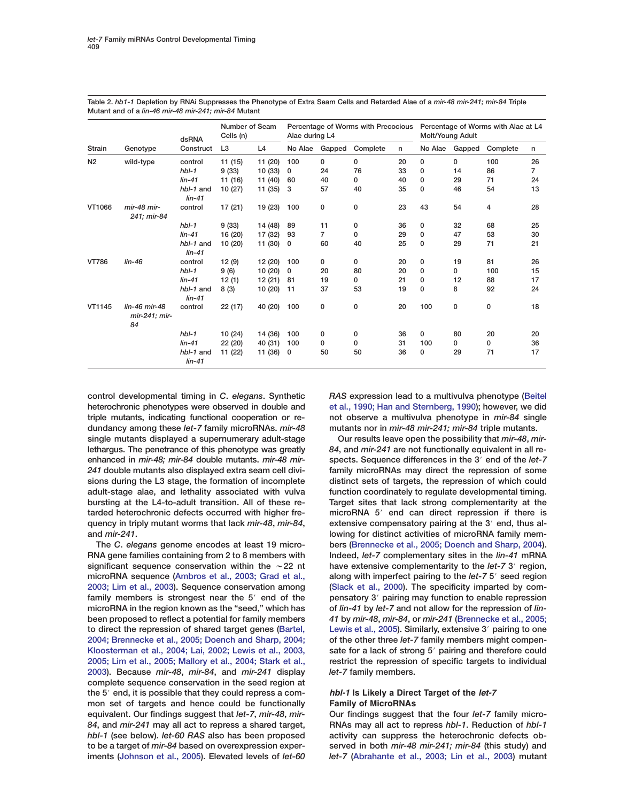| <b>Strain</b>  | Genotype                             | dsRNA<br>Construct    | Number of Seam<br>Cells (n) |                | Percentage of Worms with Precocious<br>Alae during L4 |        |              |    | Percentage of Worms with Alae at L4<br>Molt/Young Adult |        |          |    |
|----------------|--------------------------------------|-----------------------|-----------------------------|----------------|-------------------------------------------------------|--------|--------------|----|---------------------------------------------------------|--------|----------|----|
|                |                                      |                       | L <sub>3</sub>              | L <sub>4</sub> | No Alae                                               | Gapped | Complete     | n  | No Alae                                                 | Gapped | Complete | n  |
| N <sub>2</sub> | wild-type                            | control               | 11(15)                      | 11 (20)        | 100                                                   | 0      | 0            | 20 | $\mathbf{0}$                                            | 0      | 100      | 26 |
|                |                                      | $hbI-1$               | 9(33)                       | 10(33)         | $\mathbf{0}$                                          | 24     | 76           | 33 | $\Omega$                                                | 14     | 86       | 7  |
|                |                                      | $lin-41$              | 11 (16)                     | 11 (40)        | 60                                                    | 40     | 0            | 40 | $\mathbf{0}$                                            | 29     | 71       | 24 |
|                |                                      | hbl-1 and<br>$lin-41$ | 10(27)                      | 11(35)         | 3                                                     | 57     | 40           | 35 | $\Omega$                                                | 46     | 54       | 13 |
| VT1066         | mir-48 mir-<br>241: mir-84           | control               | 17 (21)                     | 19 (23)        | 100                                                   | 0      | 0            | 23 | 43                                                      | 54     | 4        | 28 |
|                |                                      | $hbI-1$               | 9(33)                       | 14 (48)        | 89                                                    | 11     | 0            | 36 | 0                                                       | 32     | 68       | 25 |
|                |                                      | $lin-41$              | 16 (20)                     | 17 (32)        | 93                                                    | 7      | $\mathbf{0}$ | 29 | $\mathbf{0}$                                            | 47     | 53       | 30 |
|                |                                      | hbl-1 and<br>$lin-41$ | 10(20)                      | 11 (30)        | 0                                                     | 60     | 40           | 25 | 0                                                       | 29     | 71       | 21 |
| <b>VT786</b>   | $lin-46$                             | control               | 12(9)                       | 12 (20)        | 100                                                   | 0      | 0            | 20 | 0                                                       | 19     | 81       | 26 |
|                |                                      | $hbI-1$               | 9(6)                        | 10(20)         | 0                                                     | 20     | 80           | 20 | $\mathbf 0$                                             | 0      | 100      | 15 |
|                |                                      | $lin-41$              | 12(1)                       | 12(21)         | 81                                                    | 19     | 0            | 21 | 0                                                       | 12     | 88       | 17 |
|                |                                      | hbl-1 and<br>$lin-41$ | 8(3)                        | 10(20)         | 11                                                    | 37     | 53           | 19 | $\mathbf 0$                                             | 8      | 92       | 24 |
| VT1145         | lin-46 mir-48<br>mir-241: mir-<br>84 | control               | 22(17)                      | 40 (20)        | 100                                                   | 0      | 0            | 20 | 100                                                     | 0      | 0        | 18 |
|                |                                      | $hbI-1$               | 10 (24)                     | 14 (36)        | 100                                                   | 0      | $\mathbf 0$  | 36 | $\mathbf{0}$                                            | 80     | 20       | 20 |
|                |                                      | $lin-41$              | 22 (20)                     | 40 (31)        | 100                                                   | 0      | 0            | 31 | 100                                                     | 0      | 0        | 36 |
|                |                                      | hbl-1 and<br>$lin-41$ | 11 (22)                     | 11 (36)        | 0                                                     | 50     | 50           | 36 | $\mathbf 0$                                             | 29     | 71       | 17 |

<span id="page-6-0"></span>**Table 2.** *hb1-1* **Depletion by RNAi Suppresses the Phenotype of Extra Seam Cells and Retarded Alae of a** *mir-48 mir-241; mir-84* **Triple Mutant and of a** *lin-46 mir-48 mir-241; mir-84* **Mutant**

**control developmental timing in** *C***.** *elegans***. Synthetic heterochronic phenotypes were observed in double and triple mutants, indicating functional cooperation or redundancy among these** *let-7* **family microRNAs.** *mir-48* **single mutants displayed a supernumerary adult-stage lethargus. The penetrance of this phenotype was greatly enhanced in** *mir-48; mir-84* **double mutants.** *mir-48 mir-241* **double mutants also displayed extra seam cell divisions during the L3 stage, the formation of incomplete adult-stage alae, and lethality associated with vulva bursting at the L4-to-adult transition. All of these retarded heterochronic defects occurred with higher frequency in triply mutant worms that lack** *mir-48***,** *mir-84***, and** *mir-241***.**

**The** *C***.** *elegans* **genome encodes at least 19 micro-RNA gene families containing from 2 to 8 members with** significant sequence conservation within the  $\sim$  22 nt **microRNA sequence [\(Ambros et al., 2003; Grad et al.,](#page-10-0) [2003; Lim et al., 2003\)](#page-10-0). Sequence conservation among** family members is strongest near the 5<sup>'</sup> end of the **microRNA in the region known as the "seed," which has been proposed to reflect a potential for family members to direct the repression of shared target genes [\(Bartel,](#page-10-0) [2004; Brennecke et al., 2005; Doench and Sharp, 2004;](#page-10-0) [Kloosterman et al., 2004; Lai, 2002; Lewis et al., 2003,](#page-10-0) [2005; Lim et al., 2005; Mallory et al., 2004; Stark et al.,](#page-10-0) [2003](#page-10-0)). Because** *mir-48***,** *mir-84***, and** *mir-241* **display complete sequence conservation in the seed region at** the 5<sup>'</sup> end, it is possible that they could repress a com**mon set of targets and hence could be functionally equivalent. Our findings suggest that** *let-7***,** *mir-48***,** *mir-84***, and** *mir-241* **may all act to repress a shared target,** *hbl-1* **(see below).** *let-60 RAS* **also has been proposed to be a target of** *mir-84* **based on overexpression experiments [\(Johnson et al., 2005\)](#page-10-0). Elevated levels of** *let-60*

*RAS* **expression lead to a multivulva phenotype [\(Beitel](#page-10-0) [et al., 1990; Han and Sternberg, 1990\)](#page-10-0); however, we did not observe a multivulva phenotype in** *mir-84* **single mutants nor in** *mir-48 mir-241; mir-84* **triple mutants.**

**Our results leave open the possibility that** *mir-48***,** *mir-84***, and** *mir-241* **are not functionally equivalent in all respects. Sequence differences in the 3**# **end of the** *let-7* **family microRNAs may direct the repression of some distinct sets of targets, the repression of which could function coordinately to regulate developmental timing. Target sites that lack strong complementarity at the microRNA 5**# **end can direct repression if there is** extensive compensatory pairing at the 3<sup>'</sup> end, thus al**lowing for distinct activities of microRNA family members [\(Brennecke et al., 2005; Doench and Sharp, 2004\)](#page-10-0). Indeed,** *let-7* **complementary sites in the** *lin-41* **mRNA** have extensive complementarity to the *let-7* 3<sup> $\prime$ </sup> region, **along with imperfect pairing to the** *let-7* **5<sup>** $\prime$ **</sup> seed region [\(Slack et al., 2000\)](#page-11-0). The specificity imparted by compensatory 3**# **pairing may function to enable repression of** *lin-41* **by** *let-7* **and not allow for the repression of** *lin-41* **by** *mir-48***,** *mir-84***, or** *mir-241* **[\(Brennecke et al., 2005;](#page-10-0) [Lewis et al., 2005\)](#page-10-0). Similarly, extensive 3**# **pairing to one of the other three** *let-7* **family members might compen**sate for a lack of strong 5<sup>'</sup> pairing and therefore could **restrict the repression of specific targets to individual** *let-7* **family members.**

# *hbl-1* **Is Likely a Direct Target of the** *let-7* **Family of MicroRNAs**

**Our findings suggest that the four** *let-7* **family micro-RNAs may all act to repress** *hbl-1***. Reduction of** *hbl-1* **activity can suppress the heterochronic defects observed in both** *mir-48 mir-241; mir-84* **(this study) and** *let-7* **[\(Abrahante et al., 2003; Lin et al., 2003\)](#page-10-0) mutant**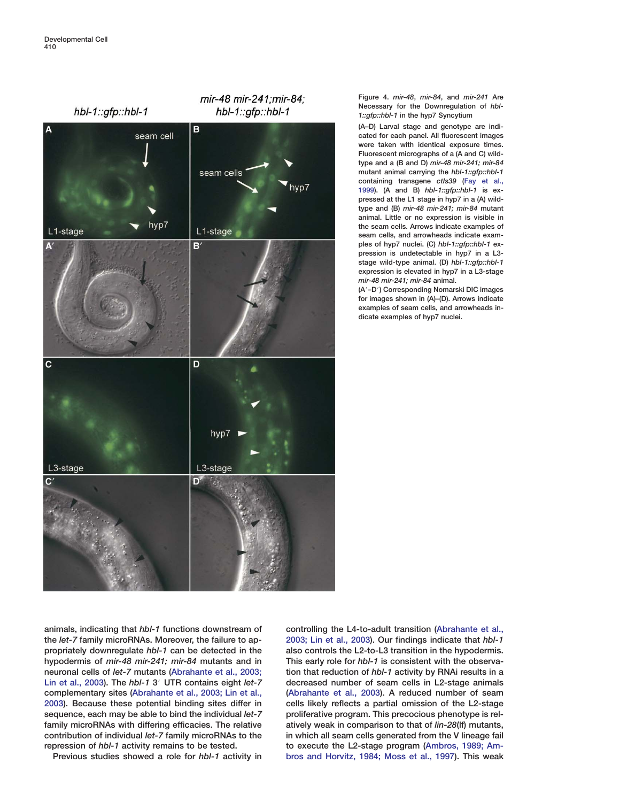<span id="page-7-0"></span>

**Figure 4.** *mir-48***,** *mir-84***, and** *mir-241* **Are Necessary for the Downregulation of** *hbl-1::gfp::hbl-1* **in the hyp7 Syncytium**

**(A–D) Larval stage and genotype are indicated for each panel. All fluorescent images were taken with identical exposure times. Fluorescent micrographs of a (A and C) wildtype and a (B and D)** *mir-48 mir-241; mir-84* **mutant animal carrying the** *hbl-1::gfp::hbl-1* **containing transgene** *ctIs39* **[\(Fay et al.,](#page-10-0) [1999\)](#page-10-0). (A and B)** *hbl-1::gfp::hbl-1* **is expressed at the L1 stage in hyp7 in a (A) wildtype and (B)** *mir-48 mir-241; mir-84* **mutant animal. Little or no expression is visible in the seam cells. Arrows indicate examples of seam cells, and arrowheads indicate examples of hyp7 nuclei. (C)** *hbl-1::gfp::hbl-1* **expression is undetectable in hyp7 in a L3 stage wild-type animal. (D)** *hbl-1::gfp::hbl-1* **expression is elevated in hyp7 in a L3-stage** *mir-48 mir-241; mir-84* **animal.**

**(A**#**–D**#**) Corresponding Nomarski DIC images for images shown in (A)–(D). Arrows indicate examples of seam cells, and arrowheads indicate examples of hyp7 nuclei.**

**animals, indicating that** *hbl-1* **functions downstream of the** *let-7* **family microRNAs. Moreover, the failure to appropriately downregulate** *hbl-1* **can be detected in the hypodermis of** *mir-48 mir-241; mir-84* **mutants and in neuronal cells of** *let-7* **mutants [\(Abrahante et al., 2003;](#page-10-0) [Lin et al., 2003](#page-10-0)). The** *hbl-1* **3**# **UTR contains eight** *let-7* **complementary sites [\(Abrahante et al., 2003; Lin et al.,](#page-10-0) [2003\)](#page-10-0). Because these potential binding sites differ in sequence, each may be able to bind the individual** *let-7* **family microRNAs with differing efficacies. The relative contribution of individual** *let-7* **family microRNAs to the repression of** *hbl-1* **activity remains to be tested.**

**Previous studies showed a role for** *hbl-1* **activity in**

**controlling the L4-to-adult transition [\(Abrahante et al.,](#page-10-0) [2003; Lin et al., 2003\)](#page-10-0). Our findings indicate that** *hbl-1* **also controls the L2-to-L3 transition in the hypodermis. This early role for** *hbl-1* **is consistent with the observation that reduction of** *hbl-1* **activity by RNAi results in a decreased number of seam cells in L2-stage animals [\(Abrahante et al., 2003\)](#page-10-0). A reduced number of seam cells likely reflects a partial omission of the L2-stage proliferative program. This precocious phenotype is relatively weak in comparison to that of** *lin-28***(lf) mutants, in which all seam cells generated from the V lineage fail to execute the L2-stage program [\(Ambros, 1989; Am](#page-10-0)[bros and Horvitz, 1984; Moss et al., 1997\)](#page-10-0). This weak**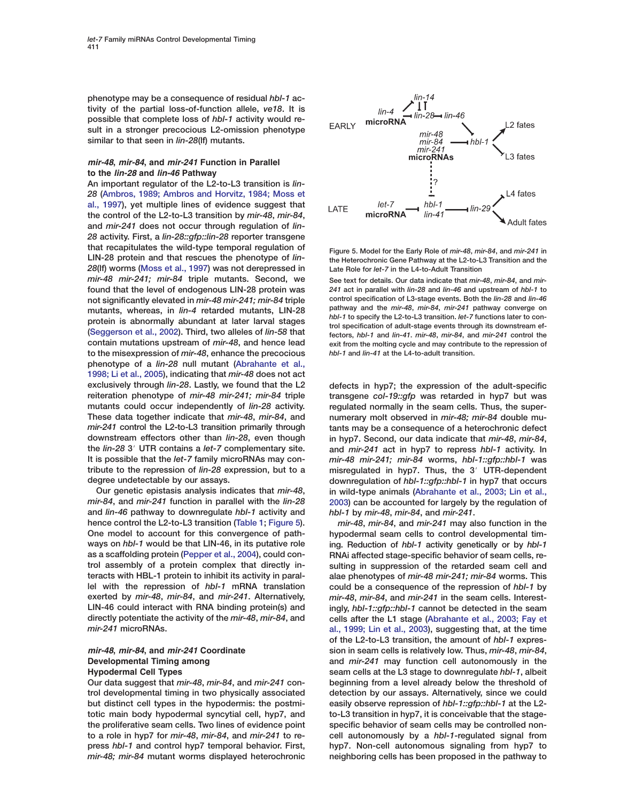<span id="page-8-0"></span>**phenotype may be a consequence of residual** *hbl-1* **activity of the partial loss-of-function allele,** *ve18***. It is possible that complete loss of** *hbl-1* **activity would result in a stronger precocious L2-omission phenotype similar to that seen in** *lin-28***(lf) mutants.**

### *mir-48***,** *mir-84***, and** *mir-241* **Function in Parallel to the** *lin-28* **and** *lin-46* **Pathway**

**An important regulator of the L2-to-L3 transition is** *lin-28* **[\(Ambros, 1989; Ambros and Horvitz, 1984; Moss et](#page-10-0) [al., 1997\)](#page-10-0), yet multiple lines of evidence suggest that the control of the L2-to-L3 transition by** *mir-48***,** *mir-84***, and** *mir-241* **does not occur through regulation of** *lin-28* **activity. First, a** *lin-28::gfp::lin-28* **reporter transgene that recapitulates the wild-type temporal regulation of LIN-28 protein and that rescues the phenotype of** *lin-28***(lf) worms [\(Moss et al., 1997\)](#page-11-0) was not derepressed in** *mir-48 mir-241; mir-84* **triple mutants. Second, we found that the level of endogenous LIN-28 protein was not significantly elevated in** *mir-48 mir-241; mir-84* **triple mutants, whereas, in** *lin-4* **retarded mutants, LIN-28 protein is abnormally abundant at later larval stages [\(Seggerson et al., 2002\)](#page-11-0). Third, two alleles of** *lin-58* **that contain mutations upstream of** *mir-48***, and hence lead to the misexpression of** *mir-48***, enhance the precocious phenotype of a** *lin-28* **null mutant [\(Abrahante et al.,](#page-10-0) [1998; Li et al., 2005](#page-10-0)), indicating that** *mir-48* **does not act exclusively through** *lin-28***. Lastly, we found that the L2 reiteration phenotype of** *mir-48 mir-241; mir-84* **triple mutants could occur independently of** *lin-28* **activity. These data together indicate that** *mir-48***,** *mir-84***, and** *mir-241* **control the L2-to-L3 transition primarily through downstream effectors other than** *lin-28***, even though the** *lin-28* **3**# **UTR contains a** *let-7* **complementary site. It is possible that the** *let-7* **family microRNAs may contribute to the repression of** *lin-28* **expression, but to a degree undetectable by our assays.**

**Our genetic epistasis analysis indicates that** *mir-48***,** *mir-84***, and** *mir-241* **function in parallel with the** *lin-28* **and** *lin-46* **pathway to downregulate** *hbl-1* **activity and hence control the L2-to-L3 transition [\(Table 1;](#page-2-0) Figure 5). One model to account for this convergence of pathways on** *hbl-1* **would be that LIN-46, in its putative role as a scaffolding protein [\(Pepper et al., 2004\)](#page-11-0), could control assembly of a protein complex that directly interacts with HBL-1 protein to inhibit its activity in parallel with the repression of** *hbl-1* **mRNA translation exerted by** *mir-48***,** *mir-84***, and** *mir-241***. Alternatively, LIN-46 could interact with RNA binding protein(s) and directly potentiate the activity of the** *mir-48***,** *mir-84***, and** *mir-241* **microRNAs.**

# *mir-48***,** *mir-84***, and** *mir-241* **Coordinate Developmental Timing among Hypodermal Cell Types**

**Our data suggest that** *mir-48***,** *mir-84***, and** *mir-241* **control developmental timing in two physically associated but distinct cell types in the hypodermis: the postmitotic main body hypodermal syncytial cell, hyp7, and the proliferative seam cells. Two lines of evidence point to a role in hyp7 for** *mir-48***,** *mir-84***, and** *mir-241* **to repress** *hbl-1* **and control hyp7 temporal behavior. First,** *mir-48; mir-84* **mutant worms displayed heterochronic**



**Figure 5. Model for the Early Role of** *mir-48***,** *mir-84***, and** *mir-241* **in the Heterochronic Gene Pathway at the L2-to-L3 Transition and the Late Role for** *let-7* **in the L4-to-Adult Transition**

**See text for details. Our data indicate that** *mir-48***,** *mir-84***, and** *mir-241* **act in parallel with** *lin-28* **and** *lin-46* **and upstream of** *hbl-1* **to control specification of L3-stage events. Both the** *lin-28* **and** *lin-46* **pathway and the** *mir-48***,** *mir-84***,** *mir-241* **pathway converge on** *hbl-1* **to specify the L2-to-L3 transition.** *let-7* **functions later to control specification of adult-stage events through its downstream effectors,** *hbl-1* **and** *lin-41***.** *mir-48***,** *mir-84***, and** *mir-241* **control the exit from the molting cycle and may contribute to the repression of** *hbl-1* **and** *lin-41* **at the L4-to-adult transition.**

**defects in hyp7; the expression of the adult-specific transgene** *col-19::gfp* **was retarded in hyp7 but was regulated normally in the seam cells. Thus, the supernumerary molt observed in** *mir-48; mir-84* **double mutants may be a consequence of a heterochronic defect in hyp7. Second, our data indicate that** *mir-48***,** *mir-84***, and** *mir-241* **act in hyp7 to repress** *hbl-1* **activity. In** *mir-48 mir-241; mir-84* **worms,** *hbl-1::gfp::hbl-1* **was misregulated in hyp7. Thus, the 3**# **UTR-dependent downregulation of** *hbl-1::gfp::hbl-1* **in hyp7 that occurs in wild-type animals [\(Abrahante et al., 2003; Lin et al.,](#page-10-0) [2003](#page-10-0)) can be accounted for largely by the regulation of** *hbl-1* **by** *mir-48***,** *mir-84***, and** *mir-241***.**

*mir-48***,** *mir-84***, and** *mir-241* **may also function in the hypodermal seam cells to control developmental timing. Reduction of** *hbl-1* **activity genetically or by** *hbl-1* **RNAi affected stage-specific behavior of seam cells, resulting in suppression of the retarded seam cell and alae phenotypes of** *mir-48 mir-241; mir-84* **worms. This could be a consequence of the repression of** *hbl-1* **by** *mir-48***,** *mir-84***, and** *mir-241* **in the seam cells. Interestingly,** *hbl-1::gfp::hbl-1* **cannot be detected in the seam cells after the L1 stage [\(Abrahante et al., 2003; Fay et](#page-10-0) [al., 1999; Lin et al., 2003\)](#page-10-0), suggesting that, at the time of the L2-to-L3 transition, the amount of** *hbl-1* **expression in seam cells is relatively low. Thus,** *mir-48***,** *mir-84***, and** *mir-241* **may function cell autonomously in the seam cells at the L3 stage to downregulate** *hbl-1***, albeit beginning from a level already below the threshold of detection by our assays. Alternatively, since we could easily observe repression of** *hbl-1::gfp::hbl-1* **at the L2 to-L3 transition in hyp7, it is conceivable that the stagespecific behavior of seam cells may be controlled noncell autonomously by a** *hbl-1***-regulated signal from hyp7. Non-cell autonomous signaling from hyp7 to neighboring cells has been proposed in the pathway to**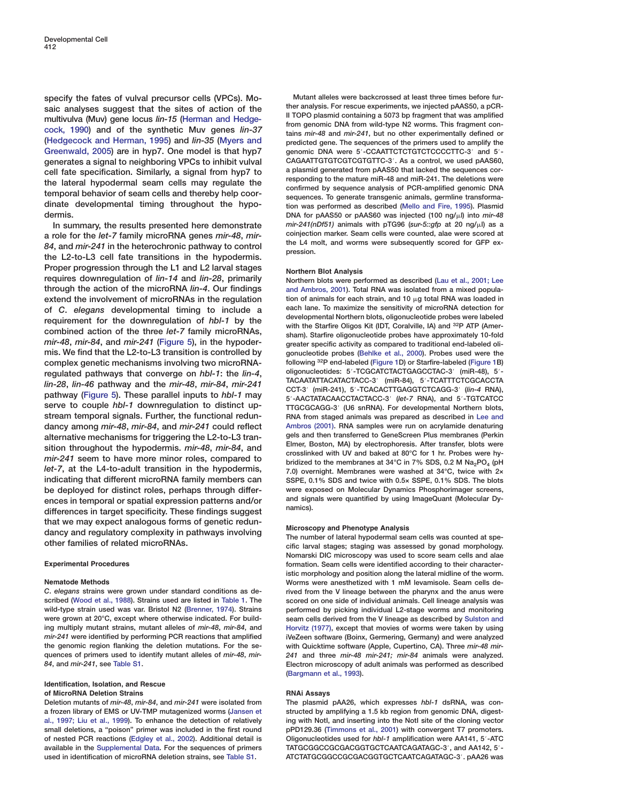**specify the fates of vulval precursor cells (VPCs). Mosaic analyses suggest that the sites of action of the multivulva (Muv) gene locus** *lin-15* **[\(Herman and Hedge](#page-10-0)[cock, 1990\)](#page-10-0) and of the synthetic Muv genes** *lin-37* **[\(Hedgecock and Herman, 1995\)](#page-10-0) and** *lin-35* **[\(Myers and](#page-11-0) [Greenwald, 2005\)](#page-11-0) are in hyp7. One model is that hyp7 generates a signal to neighboring VPCs to inhibit vulval cell fate specification. Similarly, a signal from hyp7 to the lateral hypodermal seam cells may regulate the temporal behavior of seam cells and thereby help coordinate developmental timing throughout the hypodermis.**

**In summary, the results presented here demonstrate a role for the** *let-7* **family microRNA genes** *mir-48***,** *mir-84***, and** *mir-241* **in the heterochronic pathway to control the L2-to-L3 cell fate transitions in the hypodermis. Proper progression through the L1 and L2 larval stages requires downregulation of** *lin-14* **and** *lin-28***, primarily through the action of the microRNA** *lin-4***. Our findings extend the involvement of microRNAs in the regulation of** *C***.** *elegans* **developmental timing to include a requirement for the downregulation of** *hbl-1* **by the combined action of the three** *let-7* **family microRNAs,** *mir-48***,** *mir-84***, and** *mir-241* **[\(Figure 5\)](#page-8-0), in the hypodermis. We find that the L2-to-L3 transition is controlled by complex genetic mechanisms involving two microRNAregulated pathways that converge on** *hbl-1***: the** *lin-4***,** *lin-28***,** *lin-46* **pathway and the** *mir-48***,** *mir-84***,** *mir-241* **pathway [\(Figure 5\)](#page-8-0). These parallel inputs to** *hbl-1* **may serve to couple** *hbl-1* **downregulation to distinct upstream temporal signals. Further, the functional redundancy among** *mir-48***,** *mir-84***, and** *mir-241* **could reflect alternative mechanisms for triggering the L2-to-L3 transition throughout the hypodermis.** *mir-48***,** *mir-84***, and** *mir-241* **seem to have more minor roles, compared to** *let-7***, at the L4-to-adult transition in the hypodermis, indicating that different microRNA family members can be deployed for distinct roles, perhaps through differences in temporal or spatial expression patterns and/or differences in target specificity. These findings suggest that we may expect analogous forms of genetic redundancy and regulatory complexity in pathways involving other families of related microRNAs.**

### **Experimental Procedures**

#### **Nematode Methods**

*C***.** *elegans* **strains were grown under standard conditions as described [\(Wood et al., 1988](#page-10-0)). Strains used are listed in [Table 1.](#page-2-0) The wild-type strain used was var. Bristol N2 [\(Brenner, 1974\)](#page-10-0). Strains were grown at 20°C, except where otherwise indicated. For building multiply mutant strains, mutant alleles of** *mir-48***,** *mir-84***, and** *mir-241* **were identified by performing PCR reactions that amplified the genomic region flanking the deletion mutations. For the sequences of primers used to identify mutant alleles of** *mir-48***,** *mir-84***, and** *mir-241***, see Table S1.**

#### **Identification, Isolation, and Rescue of MicroRNA Deletion Strains**

**Deletion mutants of** *mir-48***,** *mir-84***, and** *mir-241* **were isolated from a frozen library of EMS or UV-TMP mutagenized worms [\(Jansen et](#page-10-0) [al., 1997; Liu et al., 1999](#page-10-0)). To enhance the detection of relatively small deletions, a "poison" primer was included in the first round of nested PCR reactions [\(Edgley et al., 2002\)](#page-10-0). Additional detail is available in the Supplemental Data. For the sequences of primers used in identification of microRNA deletion strains, see Table S1.**

**Mutant alleles were backcrossed at least three times before further analysis. For rescue experiments, we injected pAAS50, a pCR-II TOPO plasmid containing a 5073 bp fragment that was amplified from genomic DNA from wild-type N2 worms. This fragment contains** *mir-48* **and** *mir-241***, but no other experimentally defined or predicted gene. The sequences of the primers used to amplify the genomic DNA were 5'-CCAATTCTCTGTCTCCCCTTC-3' and 5'-CAGAATTGTGTCGTCGTGTTC-3**#**. As a control, we used pAAS60, a plasmid generated from pAAS50 that lacked the sequences corresponding to the mature miR-48 and miR-241. The deletions were confirmed by sequence analysis of PCR-amplified genomic DNA sequences. To generate transgenic animals, germline transformation was performed as described [\(Mello and Fire, 1995\)](#page-11-0). Plasmid DNA for pAAS50 or pAAS60 was injected (100 ng/l) into** *mir-48 mir-241(nDf51)* **animals with pTG96 (***sur-5::gfp* **at 20 ng/l) as a coinjection marker. Seam cells were counted, alae were scored at the L4 molt, and worms were subsequently scored for GFP expression.**

### **Northern Blot Analysis**

**Northern blots were performed as described [\(Lau et al., 2001; Lee](#page-10-0) [and Ambros, 2001](#page-10-0)). Total RNA was isolated from a mixed popula**tion of animals for each strain, and 10  $\mu$ g total RNA was loaded in **each lane. To maximize the sensitivity of microRNA detection for developmental Northern blots, oligonucleotide probes were labeled with the Starfire Oligos Kit (IDT, Coralville, IA) and 32P ATP (Amersham). Starfire oligonucleotide probes have approximately 10-fold greater specific activity as compared to traditional end-labeled oligonucleotide probes [\(Behlke et al., 2000\)](#page-10-0). Probes used were the following 32P end-labeled [\(Figure 1D](#page-1-0)) or Starfire-labeled [\(Figure 1B](#page-1-0)) oligonucleotides: 5'-TCGCATCTACTGAGCCTAC-3' (miR-48), 5'-TACAATATTACATACTACC-3**# **(miR-84), 5**#**-TCATTTCTCGCACCTA CCT-3**# **(miR-241), 5**#**-TCACACTTGAGGTCTCAGG-3**# **(***lin-4* **RNA), 5**#**-AACTATACAACCTACTACC-3**# **(***let-7* **RNA), and 5**#**-TGTCATCC TTGCGCAGG-3**# **(U6 snRNA). For developmental Northern blots, RNA from staged animals was prepared as described in [Lee and](#page-10-0) [Ambros \(2001\).](#page-10-0) RNA samples were run on acrylamide denaturing gels and then transferred to GeneScreen Plus membranes (Perkin Elmer, Boston, MA) by electrophoresis. After transfer, blots were crosslinked with UV and baked at 80°C for 1 hr. Probes were hy**bridized to the membranes at 34°C in 7% SDS, 0.2 M Na<sub>2</sub>PO<sub>4</sub> (pH **7.0) overnight. Membranes were washed at 34°C, twice with 2× SSPE, 0.1% SDS and twice with 0.5× SSPE, 0.1% SDS. The blots were exposed on Molecular Dynamics Phosphorimager screens, and signals were quantified by using ImageQuant (Molecular Dynamics).**

### **Microscopy and Phenotype Analysis**

**The number of lateral hypodermal seam cells was counted at specific larval stages; staging was assessed by gonad morphology. Nomarski DIC microscopy was used to score seam cells and alae formation. Seam cells were identified according to their characteristic morphology and position along the lateral midline of the worm. Worms were anesthetized with 1 mM levamisole. Seam cells derived from the V lineage between the pharynx and the anus were scored on one side of individual animals. Cell lineage analysis was performed by picking individual L2-stage worms and monitoring seam cells derived from the V lineage as described by [Sulston and](#page-11-0) [Horvitz \(1977\)](#page-11-0), except that movies of worms were taken by using iVeZeen software (Boinx, Germering, Germany) and were analyzed with Quicktime software (Apple, Cupertino, CA). Three** *mir-48 mir-241* **and three** *mir-48 mir-241; mir-84* **animals were analyzed. Electron microscopy of adult animals was performed as described [\(Bargmann et al., 1993\)](#page-10-0).**

#### **RNAi Assays**

**The plasmid pAA26, which expresses** *hbl-1* **dsRNA, was con**structed by amplifying a 1.5 kb region from genomic DNA, digest**ing with NotI, and inserting into the NotI site of the cloning vector pPD129.36 [\(Timmons et al., 2001\)](#page-11-0) with convergent T7 promoters. Oligonucleotides used for** *hbl-1* **amplification were AA141, 5'-ATC** TATGCGGCCGCGACGGTGCTCAATCAGATAGC-3', and AA142, 5'-**ATCTATGCGGCCGCGACGGTGCTCAATCAGATAGC-3**#**. pAA26 was**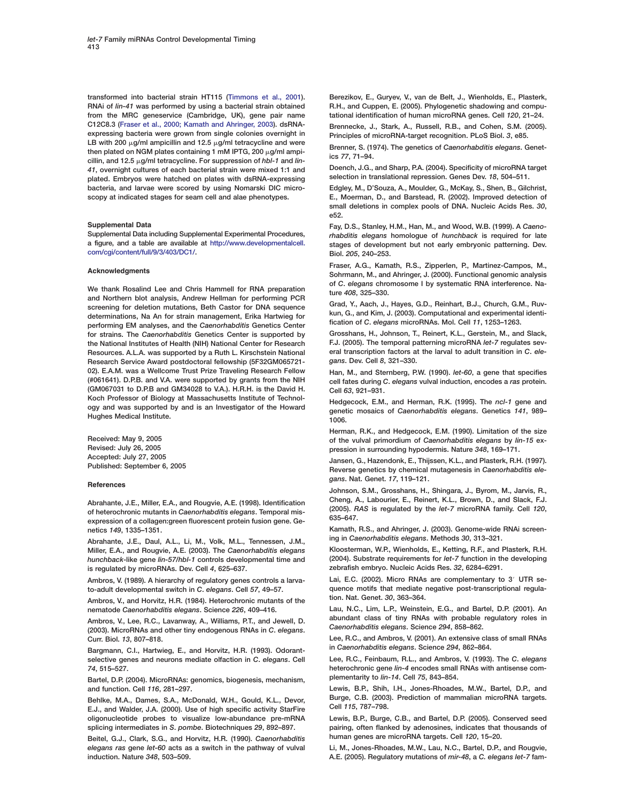<span id="page-10-0"></span>**transformed into bacterial strain HT115 [\(Timmons et al., 2001\)](#page-11-0). RNAi of** *lin-41* **was performed by using a bacterial strain obtained from the MRC geneservice (Cambridge, UK), gene pair name C12C8.3 (Fraser et al., 2000; Kamath and Ahringer, 2003). dsRNAexpressing bacteria were grown from single colonies overnight in** LB with 200  $\mu$ g/ml ampicillin and 12.5  $\mu$ g/ml tetracycline and were then plated on NGM plates containing 1 mM IPTG, 200 µg/ml ampi**cillin, and 12.5 g/ml tetracycline. For suppression of** *hbl-1* **and** *lin-41***, overnight cultures of each bacterial strain were mixed 1:1 and plated. Embryos were hatched on plates with dsRNA-expressing bacteria, and larvae were scored by using Nomarski DIC microscopy at indicated stages for seam cell and alae phenotypes.**

#### **Supplemental Data**

**Supplemental Data including Supplemental Experimental Procedures, a figure, and a table are available at [http://www.developmentalcell.](http://www.developmentalcell.com/cgi/content/full/9/3/403/DC1/) [com/cgi/content/full/9/3/403/DC1/.](http://www.developmentalcell.com/cgi/content/full/9/3/403/DC1/)**

#### **Acknowledgments**

**We thank Rosalind Lee and Chris Hammell for RNA preparation and Northern blot analysis, Andrew Hellman for performing PCR screening for deletion mutations, Beth Castor for DNA sequence determinations, Na An for strain management, Erika Hartwieg for performing EM analyses, and the** *Caenorhabditis* **Genetics Center for strains. The** *Caenorhabditis* **Genetics Center is supported by the National Institutes of Health (NIH) National Center for Research Resources. A.L.A. was supported by a Ruth L. Kirschstein National Research Service Award postdoctoral fellowship (5F32GM065721- 02). E.A.M. was a Wellcome Trust Prize Traveling Research Fellow (#061641). D.P.B. and V.A. were supported by grants from the NIH (GM067031 to D.P.B and GM34028 to V.A.). H.R.H. is the David H. Koch Professor of Biology at Massachusetts Institute of Technology and was supported by and is an Investigator of the Howard Hughes Medical Institute.**

**Received: May 9, 2005 Revised: July 26, 2005 Accepted: July 27, 2005 Published: September 6, 2005**

#### **References**

**Abrahante, J.E., Miller, E.A., and Rougvie, A.E. (1998). Identification of heterochronic mutants in** *Caenorhabditis elegans***. Temporal misexpression of a collagen:green fluorescent protein fusion gene. Genetics** *149***, 1335–1351.**

**Abrahante, J.E., Daul, A.L., Li, M., Volk, M.L., Tennessen, J.M., Miller, E.A., and Rougvie, A.E. (2003). The** *Caenorhabditis elegans hunchback***-like gene** *lin-57/hbl-1* **controls developmental time and is regulated by microRNAs. Dev. Cell** *4***, 625–637.**

**Ambros, V. (1989). A hierarchy of regulatory genes controls a larvato-adult developmental switch in** *C***.** *elegans***. Cell** *57***, 49–57.**

**Ambros, V., and Horvitz, H.R. (1984). Heterochronic mutants of the nematode** *Caenorhabditis elegans***. Science** *226***, 409–416.**

**Ambros, V., Lee, R.C., Lavanway, A., Williams, P.T., and Jewell, D. (2003). MicroRNAs and other tiny endogenous RNAs in** *C***.** *elegans***. Curr. Biol.** *13***, 807–818.**

**Bargmann, C.I., Hartwieg, E., and Horvitz, H.R. (1993). Odorantselective genes and neurons mediate olfaction in** *C***.** *elegans***. Cell** *74***, 515–527.**

**Bartel, D.P. (2004). MicroRNAs: genomics, biogenesis, mechanism, and function. Cell** *116***, 281–297.**

**Behlke, M.A., Dames, S.A., McDonald, W.H., Gould, K.L., Devor, E.J., and Walder, J.A. (2000). Use of high specific activity StarFire oligonucleotide probes to visualize low-abundance pre-mRNA splicing intermediates in** *S***.** *pombe***. Biotechniques** *29***, 892–897.**

**Beitel, G.J., Clark, S.G., and Horvitz, H.R. (1990).** *Caenorhabditis elegans ras* **gene** *let-60* **acts as a switch in the pathway of vulval induction. Nature** *348***, 503–509.**

**Berezikov, E., Guryev, V., van de Belt, J., Wienholds, E., Plasterk, R.H., and Cuppen, E. (2005). Phylogenetic shadowing and computational identification of human microRNA genes. Cell** *120***, 21–24.**

**Brennecke, J., Stark, A., Russell, R.B., and Cohen, S.M. (2005). Principles of microRNA-target recognition. PLoS Biol.** *3***, e85.**

**Brenner, S. (1974). The genetics of** *Caenorhabditis elegans***. Genetics** *77***, 71–94.**

**Doench, J.G., and Sharp, P.A. (2004). Specificity of microRNA target selection in translational repression. Genes Dev.** *18***, 504–511.**

**Edgley, M., D'Souza, A., Moulder, G., McKay, S., Shen, B., Gilchrist, E., Moerman, D., and Barstead, R. (2002). Improved detection of small deletions in complex pools of DNA. Nucleic Acids Res.** *30***, e52.**

**Fay, D.S., Stanley, H.M., Han, M., and Wood, W.B. (1999). A** *Caenorhabditis elegans* **homologue of** *hunchback* **is required for late stages of development but not early embryonic patterning. Dev. Biol.** *205***, 240–253.**

**Fraser, A.G., Kamath, R.S., Zipperlen, P., Martinez-Campos, M., Sohrmann, M., and Ahringer, J. (2000). Functional genomic analysis of** *C***.** *elegans* **chromosome I by systematic RNA interference. Nature** *408***, 325–330.**

**Grad, Y., Aach, J., Hayes, G.D., Reinhart, B.J., Church, G.M., Ruvkun, G., and Kim, J. (2003). Computational and experimental identification of** *C***.** *elegans* **microRNAs. Mol. Cell** *11***, 1253–1263.**

**Grosshans, H., Johnson, T., Reinert, K.L., Gerstein, M., and Slack, F.J. (2005). The temporal patterning microRNA** *let-7* **regulates several transcription factors at the larval to adult transition in** *C***.** *elegans***. Dev. Cell** *8***, 321–330.**

**Han, M., and Sternberg, P.W. (1990).** *let-60***, a gene that specifies cell fates during** *C***.** *elegans* **vulval induction, encodes a** *ras* **protein. Cell** *63***, 921–931.**

**Hedgecock, E.M., and Herman, R.K. (1995). The** *ncl-1* **gene and genetic mosaics of** *Caenorhabditis elegans***. Genetics** *141***, 989– 1006.**

**Herman, R.K., and Hedgecock, E.M. (1990). Limitation of the size of the vulval primordium of** *Caenorhabditis elegans* **by** *lin-15* **expression in surrounding hypodermis. Nature** *348***, 169–171.**

**Jansen, G., Hazendonk, E., Thijssen, K.L., and Plasterk, R.H. (1997). Reverse genetics by chemical mutagenesis in** *Caenorhabditis elegans***. Nat. Genet.** *17***, 119–121.**

**Johnson, S.M., Grosshans, H., Shingara, J., Byrom, M., Jarvis, R., Cheng, A., Labourier, E., Reinert, K.L., Brown, D., and Slack, F.J. (2005).** *RAS* **is regulated by the** *let-7* **microRNA family. Cell** *120***, 635–647.**

**Kamath, R.S., and Ahringer, J. (2003). Genome-wide RNAi screening in** *Caenorhabditis elegans***. Methods** *30***, 313–321.**

**Kloosterman, W.P., Wienholds, E., Ketting, R.F., and Plasterk, R.H. (2004). Substrate requirements for** *let-7* **function in the developing zebrafish embryo. Nucleic Acids Res.** *32***, 6284–6291.**

Lai, E.C. (2002). Micro RNAs are complementary to 3<sup>'</sup> UTR se**quence motifs that mediate negative post-transcriptional regulation. Nat. Genet.** *30***, 363–364.**

**Lau, N.C., Lim, L.P., Weinstein, E.G., and Bartel, D.P. (2001). An abundant class of tiny RNAs with probable regulatory roles in** *Caenorhabditis elegans***. Science** *294***, 858–862.**

**Lee, R.C., and Ambros, V. (2001). An extensive class of small RNAs in** *Caenorhabditis elegans***. Science** *294***, 862–864.**

**Lee, R.C., Feinbaum, R.L., and Ambros, V. (1993). The** *C***.** *elegans* **heterochronic gene** *lin-4* **encodes small RNAs with antisense complementarity to** *lin-14***. Cell** *75***, 843–854.**

**Lewis, B.P., Shih, I.H., Jones-Rhoades, M.W., Bartel, D.P., and Burge, C.B. (2003). Prediction of mammalian microRNA targets. Cell** *115***, 787–798.**

**Lewis, B.P., Burge, C.B., and Bartel, D.P. (2005). Conserved seed pairing, often flanked by adenosines, indicates that thousands of human genes are microRNA targets. Cell** *120***, 15–20.**

**Li, M., Jones-Rhoades, M.W., Lau, N.C., Bartel, D.P., and Rougvie, A.E. (2005). Regulatory mutations of** *mir-48***, a** *C. elegans let-7* **fam-**